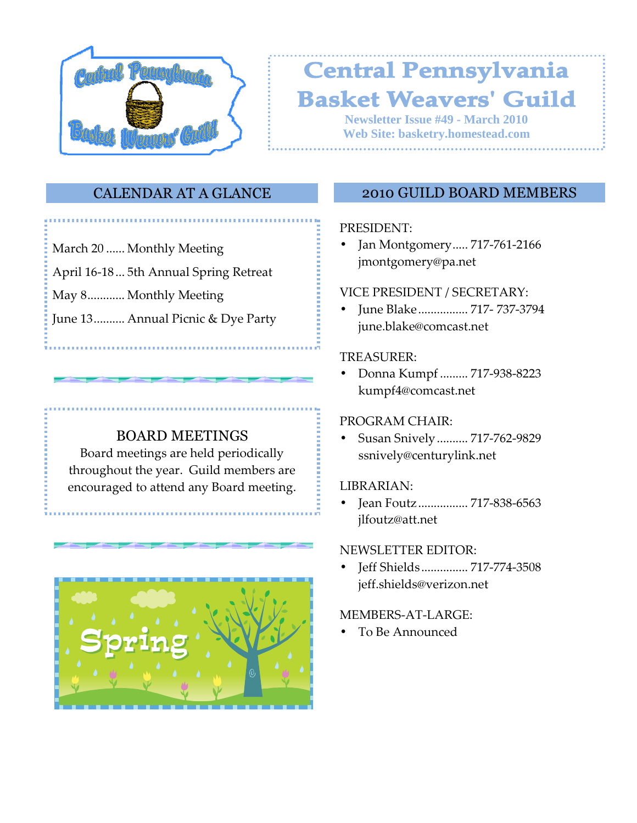

# **Central Pennsylvania Basket Weavers' Guild**

**Newsletter Issue #49 - March 2010 Web Site: basketry.homestead.com**

# CALENDAR AT A GLANCE

- March 20 ...... Monthly Meeting
- April 16-18 ... 5th Annual Spring Retreat
- May 8............ Monthly Meeting
- June 13.......... Annual Picnic & Dye Party

# BOARD MEETINGS

Board meetings are held periodically throughout the year. Guild members are encouraged to attend any Board meeting.



# 2010 GUILD BOARD MEMBERS

### PRESIDENT:

• Jan Montgomery ..... 717-761-2166 jmontgomery@pa.net

### VICE PRESIDENT / SECRETARY:

• June Blake ................ 717- 737-3794 june.blake@comcast.net

### TREASURER:

• Donna Kumpf ......... 717-938-8223 kumpf4@comcast.net

# PROGRAM CHAIR:

• Susan Snively .......... 717-762-9829 ssnively@centurylink.net

# LIBRARIAN:

• Jean Foutz ................ 717-838-6563 jlfoutz@att.net

#### NEWSLETTER EDITOR:

• Jeff Shields ............... 717-774-3508 jeff.shields@verizon.net

#### MEMBERS-AT-LARGE:

• To Be Announced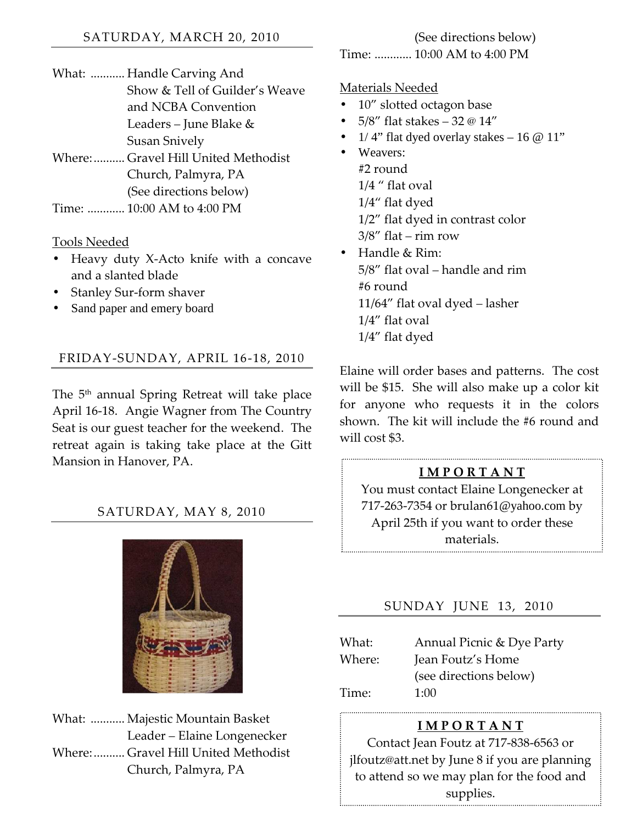What: ........... Handle Carving And Show & Tell of Guilder's Weave and NCBA Convention Leaders – June Blake & Susan Snively Where: .......... Gravel Hill United Methodist Church, Palmyra, PA (See directions below) Time: ............ 10:00 AM to 4:00 PM

Tools Needed

- Heavy duty X-Acto knife with a concave and a slanted blade
- Stanley Sur-form shaver
- Sand paper and emery board

### FRIDAY-SUNDAY, APRIL 16-18, 2010

The 5<sup>th</sup> annual Spring Retreat will take place April 16-18. Angie Wagner from The Country Seat is our guest teacher for the weekend. The retreat again is taking take place at the Gitt Mansion in Hanover, PA.

# SATURDAY, MAY 8, 2010



What: ........... Majestic Mountain Basket Leader – Elaine Longenecker Where: .......... Gravel Hill United Methodist Church, Palmyra, PA

(See directions below)

Time: ............ 10:00 AM to 4:00 PM

#### Materials Needed

- 10" slotted octagon base
- 5/8" flat stakes 32 @ 14"
- $1/4$ " flat dyed overlay stakes 16 @ 11"
- Weavers: #2 round 1/4 " flat oval 1/4" flat dyed 1/2" flat dyed in contrast color  $3/8''$  flat – rim row
- Handle & Rim: 5/8" flat oval – handle and rim #6 round 11/64" flat oval dyed – lasher 1/4" flat oval 1/4" flat dyed

Elaine will order bases and patterns. The cost will be \$15. She will also make up a color kit for anyone who requests it in the colors shown. The kit will include the #6 round and will cost \$3.

### I M P O R T A N T

You must contact Elaine Longenecker at 717-263-7354 or brulan61@yahoo.com by April 25th if you want to order these materials.

# SUNDAY JUNE 13, 2010

| What:  | Annual Picnic & Dye Party |
|--------|---------------------------|
| Where: | Jean Foutz's Home         |
|        | (see directions below)    |
| Time:  | 1:00                      |

#### I M P O R T A N T

Contact Jean Foutz at 717-838-6563 or jlfoutz@att.net by June 8 if you are planning to attend so we may plan for the food and supplies.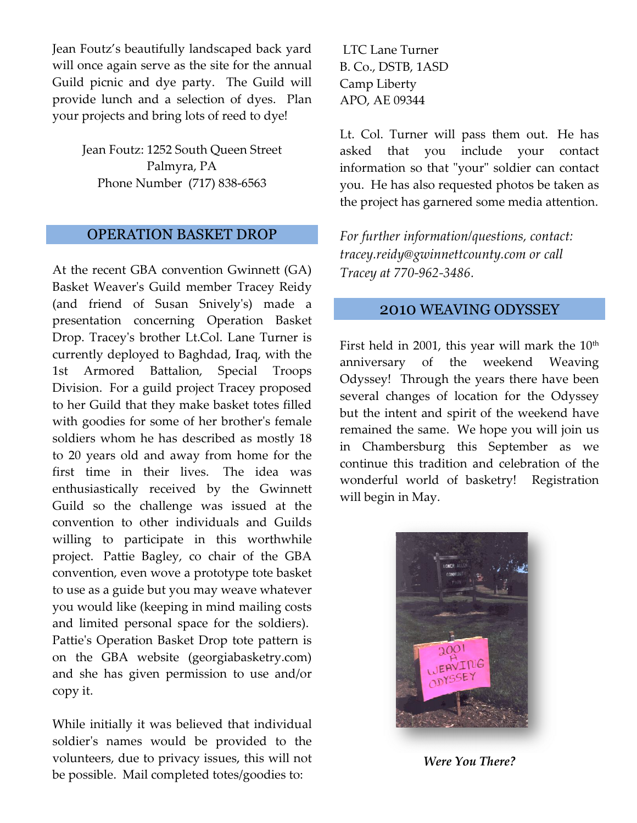Jean Foutz's beautifully landscaped back yard Jean Foutz's beautifully landscaped back yard<br>will once again serve as the site for the annual Guild picnic and dye party. The Guild will provide lunch and a selection of dyes. Plan your projects and bring lots of reed to dye!

> Jean Foutz: 1252 South Queen Street<br>Palmyra, PA<br>Phone Number (717) 838-6563 Palmyra, PA Phone Number (717) 838-

### OPERATION BASKET DROP

At the recent GBA convention Gwinnett (GA) Basket Weaver's Guild member Tracey Reidy (and friend of Susan Snively's) made a presentation concerning Operation Basket Drop. Tracey's brother Lt.Col. Lane Turner is currently deployed to Baghdad, Iraq, with the 1st Armored Battalion, Special Troops Division. For a guild project Tracey proposed to her Guild that they make basket totes filled with goodies for some of her brother's female soldiers whom he has described as mostly 18 to 20 years old and away from home for the first time in their lives. The idea was enthusiastically received by the Gwinnett Guild so the challenge was issued at the convention to other individuals and Guilds willing to participate in this worthwhile project. Pattie Bagley, co chair of the GBA convention, even wove a prototype tote basket to use as a guide but you may weave whatever you would like (keeping in mind maili and limited personal space for the soldiers). Pattie's Operation Basket Drop tote pattern is on the GBA website (georgiabasketry.com) and she has given permission to use and/or copy it. Basket Weaver's Guild member Tracey Reidy<br>(and friend of Susan Snively's) made a<br>presentation concerning Operation Basket<br>Drop. Tracey's brother Lt.Col. Lane Turner is<br>currently deployed to Baghdad, Iraq, with the<br>1st Armo For the control of the Calcular Care Turner and the website of the While minicipal and she party. The Guild point of the website and she party the Calcular provide lunch and a selection of dyes than APO, AE 0934 (since pro

While initially it was believed that individual soldier's names would be provided to the volunteers, due to privacy issues, this will not be possible. Mail completed totes/goodies to:

B. Co., DSTB, 1ASD Camp Liberty APO, AE 09344

Lt. Col. Turner will pass them out. Col. Turner out. He has asked that you includ asked include your contact information so that "your" soldier can contact you. He has also requested photos be taken as the project has garnered some media attention. that "your" soldier can<br>:o requested photos be t<br>;arnered some media at!

For further information/questions, contact: tracey.reidy@gwinnettcounty.com tracey.reidy@gwinnettcounty.com or call Tracey at 770-962-3486.

# 2010 WEAVING ODYSSEY

First held in 2001, this year will mark the 10<sup>th</sup> anniversary of the weekend Weaving Odyssey! Through the years there have been Odyssey! Through the years there have been<br>several changes of location for the Odyssey but the intent and spirit of the weekend have but the intent and spirit of the weekend have<br>remained the same. We hope you will join us in Chambersburg this September September as we continue this tradition and celebration of the continue this tradition and celebration of the<br>wonderful world of basketry! Registration will begin in May.



Were You You There?